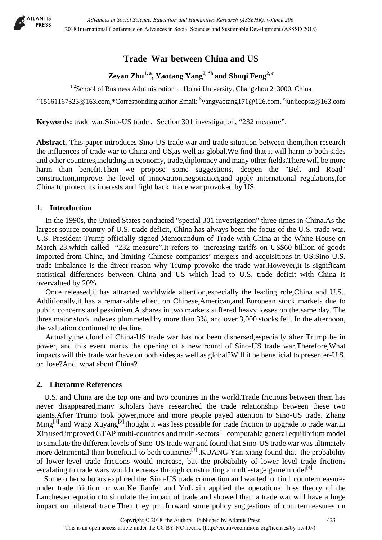

## **Trade War between China and US**

# **Zeyan Zhu1, a, Yaotang Yang2, \*b and Shuqi Feng2, c**

 $1.2$ School of Business Administration , Hohai University, Changzhou 213000, China

 $^{A}$ 15161167323@163.com,\*Corresponding author Email:  $^{b}$ yangyaotang171@126.com, <sup>c</sup>junjieopsz@163.com

**Keywords:** trade war,Sino-US trade , Section 301 investigation, "232 measure".

**Abstract.** This paper introduces Sino-US trade war and trade situation between them,then research the influences of trade war to China and US,as well as global.We find that it will harm to both sides and other countries,including in economy, trade,diplomacy and many other fields.There will be more harm than benefit.Then we propose some suggestions, deepen the "Belt and Road" construction,improve the level of innovation,negotiation,and apply international regulations,for China to protect its interests and fight back trade war provoked by US.

## **1. Introduction**

In the 1990s, the United States conducted "special 301 investigation" three times in China.As the largest source country of U.S. trade deficit, China has always been the focus of the U.S. trade war. U.S. President Trump officially signed Memorandum of Trade with China at the White House on March 23,which called "232 measure".It refers to increasing tariffs on US\$60 billion of goods imported from China, and limiting Chinese companies' mergers and acquisitions in US.Sino-U.S. trade imbalance is the direct reason why Trump provoke the trade war.However,it is significant statistical differences between China and US which lead to U.S. trade deficit with China is overvalued by 20%.

Once released,it has attracted worldwide attention,especially the leading role,China and U.S.. Additionally,it has a remarkable effect on Chinese,American,and European stock markets due to public concerns and pessimism.A shares in two markets suffered heavy losses on the same day. The three major stock indexes plummeted by more than 3%, and over 3,000 stocks fell. In the afternoon, the valuation continued to decline.

Actually,the cloud of China-US trade war has not been dispersed,especially after Trump be in power, and this event marks the opening of a new round of Sino-US trade war.Therefore,What impacts will this trade war have on both sides,as well as global?Will it be beneficial to presenter-U.S. or lose?And what about China?

## **2. Literature References**

U.S. and China are the top one and two countries in the world.Trade frictions between them has never disappeared,many scholars have researched the trade relationship between these two giants.After Trump took power,more and more people payed attention to Sino-US trade. Zhang  $\text{Ming}^{[1]}$  and Wang  $\text{Xuyang}^{[2]}$  thought it was less possible for trade friction to upgrade to trade war.Li Xin used improved GTAP multi-countries and multi-sectors' computable general equilibrium model to simulate the different levels of Sino-US trade war and found that Sino-US trade war was ultimately more detrimental than beneficial to both countries<sup>[3]</sup>. KUANG Yan-xiang found that the probability of lower-level trade frictions would increase, but the probability of lower level trade frictions escalating to trade wars would decrease through constructing a multi-stage game model<sup>[4]</sup>.

Some other scholars explored the Sino-US trade connection and wanted to find countermeasures under trade friction or war.Ke Jianfei and YuLixin applied the operational loss theory of the Lanchester equation to simulate the impact of trade and showed that a trade war will have a huge impact on bilateral trade.Then they put forward some policy suggestions of countermeasures on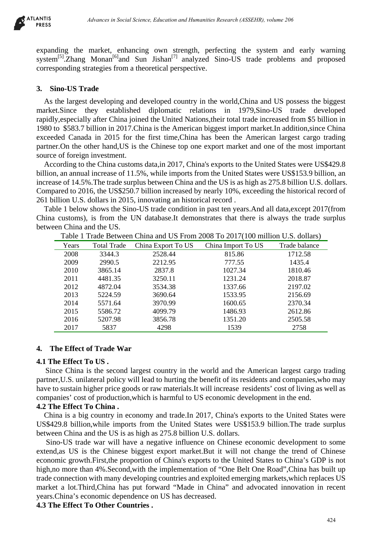

expanding the market, enhancing own strength, perfecting the system and early warning system<sup>[5]</sup>.Zhang Monan<sup>[6]</sup>and Sun Jishan<sup>[7]</sup> analyzed Sino-US trade problems and proposed corresponding strategies from a theoretical perspective.

## **3. Sino-US Trade**

As the largest developing and developed country in the world,China and US possess the biggest market.Since they established diplomatic relations in 1979,Sino-US trade developed rapidly,especially after China joined the United Nations,their total trade increased from \$5 billion in 1980 to \$583.7 billion in 2017.China is the American biggest import market.In addition,since China exceeded Canada in 2015 for the first time,China has been the American largest cargo trading partner.On the other hand,US is the Chinese top one export market and one of the most important source of foreign investment.

According to the China customs data,in 2017, China's exports to the United States were US\$429.8 billion, an annual increase of 11.5%, while imports from the United States were US\$153.9 billion, an increase of 14.5%.The trade surplus between China and the US is as high as 275.8 billion U.S. dollars. Compared to 2016, the US\$250.7 billion increased by nearly 10%, exceeding the historical record of 261 billion U.S. dollars in 2015, innovating an historical record .

Table 1 below shows the Sino-US trade condition in past ten years.And all data,except 2017(from China customs), is from the UN database.It demonstrates that there is always the trade surplus between China and the US.

|                   |                               |                                                               | Advances in Social Science, Education and Humanities Research (ASSEHR), volume 206 |                                                                                                                                                                                                                                                                                                                                                                                                                                                                                                                                                                                                                                                                                                                                                                                                                                                                                                                                                                                                    |
|-------------------|-------------------------------|---------------------------------------------------------------|------------------------------------------------------------------------------------|----------------------------------------------------------------------------------------------------------------------------------------------------------------------------------------------------------------------------------------------------------------------------------------------------------------------------------------------------------------------------------------------------------------------------------------------------------------------------------------------------------------------------------------------------------------------------------------------------------------------------------------------------------------------------------------------------------------------------------------------------------------------------------------------------------------------------------------------------------------------------------------------------------------------------------------------------------------------------------------------------|
|                   |                               | sponding strategies from a theoretical perspective.           |                                                                                    | ding the market, enhancing own strength, perfecting the system and early warn<br>m <sup>[5]</sup> .Zhang Monan <sup>[6]</sup> and Sun Jishan <sup>[7]</sup> analyzed Sino-US trade problems and propo                                                                                                                                                                                                                                                                                                                                                                                                                                                                                                                                                                                                                                                                                                                                                                                              |
| ino-US Trade      |                               |                                                               |                                                                                    |                                                                                                                                                                                                                                                                                                                                                                                                                                                                                                                                                                                                                                                                                                                                                                                                                                                                                                                                                                                                    |
|                   | e of foreign investment.      | illion U.S. dollars in 2015, innovating an historical record. | et.Since they established diplomatic relations in 1979,Sino-US trade               | the largest developing and developed country in the world, China and US possess the bigg<br>develop<br>y, especially after China joined the United Nations, their total trade increased from \$5 billion<br>to \$583.7 billion in 2017. China is the American biggest import market. In addition, since Ch<br>ded Canada in 2015 for the first time, China has been the American largest cargo trad<br>er.On the other hand, US is the Chinese top one export market and one of the most import<br>cording to the China customs data,in 2017, China's exports to the United States were US\$42<br>n, an annual increase of 11.5%, while imports from the United States were US\$153.9 billion,<br>use of 14.5%. The trade surplus between China and the US is as high as 275.8 billion U.S. doll<br>bared to 2016, the US\$250.7 billion increased by nearly 10%, exceeding the historical record<br>ble 1 below shows the Sino-US trade condition in past ten years. And all data, except 2017(fr |
|                   |                               |                                                               |                                                                                    | customs), is from the UN database. It demonstrates that there is always the trade surp                                                                                                                                                                                                                                                                                                                                                                                                                                                                                                                                                                                                                                                                                                                                                                                                                                                                                                             |
|                   | een China and the US.         |                                                               |                                                                                    |                                                                                                                                                                                                                                                                                                                                                                                                                                                                                                                                                                                                                                                                                                                                                                                                                                                                                                                                                                                                    |
|                   |                               |                                                               | Table 1 Trade Between China and US From 2008 To 2017(100 million U.S. dollars)     |                                                                                                                                                                                                                                                                                                                                                                                                                                                                                                                                                                                                                                                                                                                                                                                                                                                                                                                                                                                                    |
| Years             | <b>Total Trade</b>            | China Export To US                                            | China Import To US                                                                 | Trade balance                                                                                                                                                                                                                                                                                                                                                                                                                                                                                                                                                                                                                                                                                                                                                                                                                                                                                                                                                                                      |
| 2008              | 3344.3                        | 2528.44                                                       | 815.86                                                                             | 1712.58                                                                                                                                                                                                                                                                                                                                                                                                                                                                                                                                                                                                                                                                                                                                                                                                                                                                                                                                                                                            |
| 2009              | 2990.5                        | 2212.95                                                       | 777.55                                                                             | 1435.4                                                                                                                                                                                                                                                                                                                                                                                                                                                                                                                                                                                                                                                                                                                                                                                                                                                                                                                                                                                             |
| 2010              | 3865.14                       | 2837.8                                                        | 1027.34                                                                            | 1810.46                                                                                                                                                                                                                                                                                                                                                                                                                                                                                                                                                                                                                                                                                                                                                                                                                                                                                                                                                                                            |
| 2011              | 4481.35                       | 3250.11                                                       | 1231.24                                                                            | 2018.87                                                                                                                                                                                                                                                                                                                                                                                                                                                                                                                                                                                                                                                                                                                                                                                                                                                                                                                                                                                            |
| 2012              | 4872.04                       | 3534.38                                                       | 1337.66                                                                            | 2197.02                                                                                                                                                                                                                                                                                                                                                                                                                                                                                                                                                                                                                                                                                                                                                                                                                                                                                                                                                                                            |
| 2013              | 5224.59                       | 3690.64                                                       | 1533.95                                                                            | 2156.69                                                                                                                                                                                                                                                                                                                                                                                                                                                                                                                                                                                                                                                                                                                                                                                                                                                                                                                                                                                            |
| 2014              | 5571.64                       | 3970.99                                                       | 1600.65                                                                            | 2370.34                                                                                                                                                                                                                                                                                                                                                                                                                                                                                                                                                                                                                                                                                                                                                                                                                                                                                                                                                                                            |
| 2015              | 5586.72                       | 4099.79                                                       | 1486.93                                                                            | 2612.86                                                                                                                                                                                                                                                                                                                                                                                                                                                                                                                                                                                                                                                                                                                                                                                                                                                                                                                                                                                            |
| 2016<br>2017      | 5207.98<br>5837               | 3856.78<br>4298                                               | 1351.20<br>1539                                                                    | 2505.58<br>2758                                                                                                                                                                                                                                                                                                                                                                                                                                                                                                                                                                                                                                                                                                                                                                                                                                                                                                                                                                                    |
| he Effect To US . | he Effect of Trade War'       |                                                               |                                                                                    |                                                                                                                                                                                                                                                                                                                                                                                                                                                                                                                                                                                                                                                                                                                                                                                                                                                                                                                                                                                                    |
|                   | he Effect To China .          |                                                               | anies' cost of production, which is harmful to US economic development in the end. | nce China is the second largest country in the world and the American largest cargo trad<br>er, U.S. unilateral policy will lead to hurting the benefit of its residents and companies, who ne<br>to sustain higher price goods or raw materials. It will increase residents' cost of living as wel                                                                                                                                                                                                                                                                                                                                                                                                                                                                                                                                                                                                                                                                                                |
|                   |                               | en China and the US is as high as 275.8 billion U.S. dollars. |                                                                                    | ina is a big country in economy and trade. In 2017, China's exports to the United States w<br>29.8 billion, while imports from the United States were US\$153.9 billion. The trade surp                                                                                                                                                                                                                                                                                                                                                                                                                                                                                                                                                                                                                                                                                                                                                                                                            |
|                   | he Effect To Other Countries. | China's economic dependence on US has decreased.              |                                                                                    | no-US trade war will have a negative influence on Chinese economic development to so<br>d, as US is the Chinese biggest export market. But it will not change the trend of Chin<br>omic growth. First, the proportion of China's exports to the United States to China's GDP is<br>no more than 4%. Second, with the implementation of "One Belt One Road", China has built<br>connection with many developing countries and exploited emerging markets, which replaces<br>et a lot. Third, China has put forward "Made in China" and advocated innovation in rec                                                                                                                                                                                                                                                                                                                                                                                                                                  |
|                   |                               |                                                               |                                                                                    | 424                                                                                                                                                                                                                                                                                                                                                                                                                                                                                                                                                                                                                                                                                                                                                                                                                                                                                                                                                                                                |

Table 1 Trade Between China and US From 2008 To 2017(100 million U.S. dollars)

#### **4. The Effect of Trade War**

#### **4.1 The Effect To US .**

Since China is the second largest country in the world and the American largest cargo trading partner,U.S. unilateral policy will lead to hurting the benefit of its residents and companies,who may have to sustain higher price goods or raw materials.It will increase residents' cost of living as well as companies' cost of production,which is harmful to US economic development in the end.

## **4.2 The Effect To China .**

China is a big country in economy and trade.In 2017, China's exports to the United States were US\$429.8 billion,while imports from the United States were US\$153.9 billion.The trade surplus between China and the US is as high as 275.8 billion U.S. dollars.

Sino-US trade war will have a negative influence on Chinese economic development to some extend,as US is the Chinese biggest export market.But it will not change the trend of Chinese economic growth.First,the proportion of China's exports to the United States to China's GDP is not high,no more than 4%. Second, with the implementation of "One Belt One Road", China has built up trade connection with many developing countries and exploited emerging markets,which replaces US market a lot.Third,China has put forward "Made in China" and advocated innovation in recent years.China's economic dependence on US has decreased.

**4.3 The Effect To Other Countries .**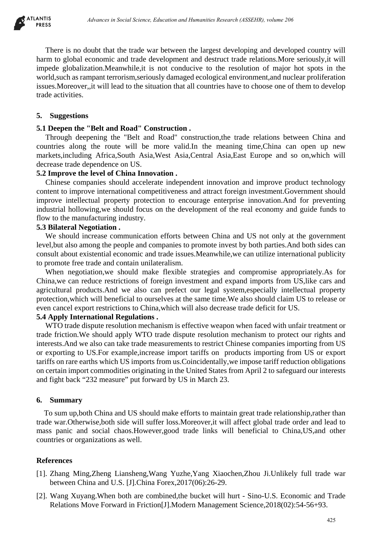

There is no doubt that the trade war between the largest developing and developed country will harm to global economic and trade development and destruct trade relations.More seriously,it will impede globalization.Meanwhile,it is not conducive to the resolution of major hot spots in the world,such as rampant terrorism,seriously damaged ecological environment,and nuclear proliferation issues.Moreover,,it will lead to the situation that all countries have to choose one of them to develop trade activities.

#### **5. Suggestions**

#### **5.1 Deepen the "Belt and Road" Construction .**

Through deepening the "Belt and Road" construction,the trade relations between China and countries along the route will be more valid.In the meaning time,China can open up new markets,including Africa,South Asia,West Asia,Central Asia,East Europe and so on,which will decrease trade dependence on US.

#### **5.2 Improve the level of China Innovation .**

Chinese companies should accelerate independent innovation and improve product technology content to improve international competitiveness and attract foreign investment.Government should improve intellectual property protection to encourage enterprise innovation.And for preventing industrial hollowing,we should focus on the development of the real economy and guide funds to flow to the manufacturing industry.

## **5.3 Bilateral Negotiation .**

We should increase communication efforts between China and US not only at the government level,but also among the people and companies to promote invest by both parties.And both sides can consult about existential economic and trade issues.Meanwhile,we can utilize international publicity to promote free trade and contain unilateralism.

When negotiation,we should make flexible strategies and compromise appropriately.As for China,we can reduce restrictions of foreign investment and expand imports from US,like cars and agricultural products.And we also can prefect our legal system,especially intellectual property protection,which will beneficial to ourselves at the same time.We also should claim US to release or even cancel export restrictions to China,which will also decrease trade deficit for US.

#### **5.4 Apply International Regulations .**

WTO trade dispute resolution mechanism is effective weapon when faced with unfair treatment or trade friction.We should apply WTO trade dispute resolution mechanism to protect our rights and interests.And we also can take trade measurements to restrict Chinese companies importing from US or exporting to US.For example,increase import tariffs on products importing from US or export tariffs on rare earths which US imports from us.Coincidentally,we impose tariff reduction obligations on certain import commodities originating in the United States from April 2 to safeguard our interests and fight back "232 measure" put forward by US in March 23. *Advances in Social Science, Education and Humanities Research (ASSEHR), where 266*<br>
and that the tracte war between the largest developing and developed contropy<br>
controlnic and track development and destruct track resear

#### **6. Summary**

To sum up,both China and US should make efforts to maintain great trade relationship,rather than trade war.Otherwise,both side will suffer loss.Moreover,it will affect global trade order and lead to mass panic and social chaos.However,good trade links will beneficial to China,US,and other countries or organizations as well.

#### **References**

- [1]. Zhang Ming,Zheng Liansheng,Wang Yuzhe,Yang Xiaochen,Zhou Ji.Unlikely full trade war between China and U.S. [J].China Forex,2017(06):26-29.
- [2]. Wang Xuyang.When both are combined,the bucket will hurt Sino-U.S. Economic and Trade Relations Move Forward in Friction[J].Modern Management Science,2018(02):54-56+93.